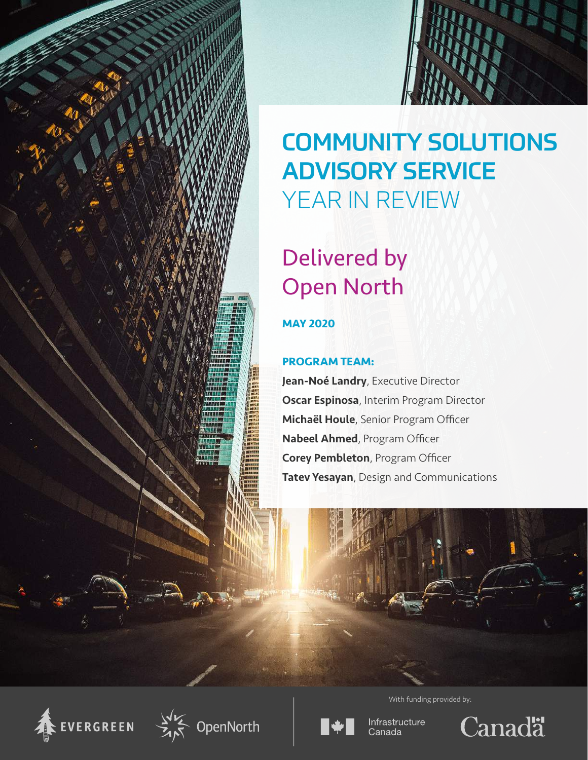



# COMMUNITY SOLUTIONS ADVISORY SERVICE YEAR IN REVIEW

# Delivered by Open North

### **MAY 2020**

### **PROGRAM TEAM:**

Jean-Noé Landry, Executive Director **Oscar Espinosa**, Interim Program Director Michaël Houle, Senior Program Officer Nabeel Ahmed, Program Officer Corey Pembleton, Program Officer Tatev Yesayan, Design and Communications









Infrastructure Canada



With funding provided by: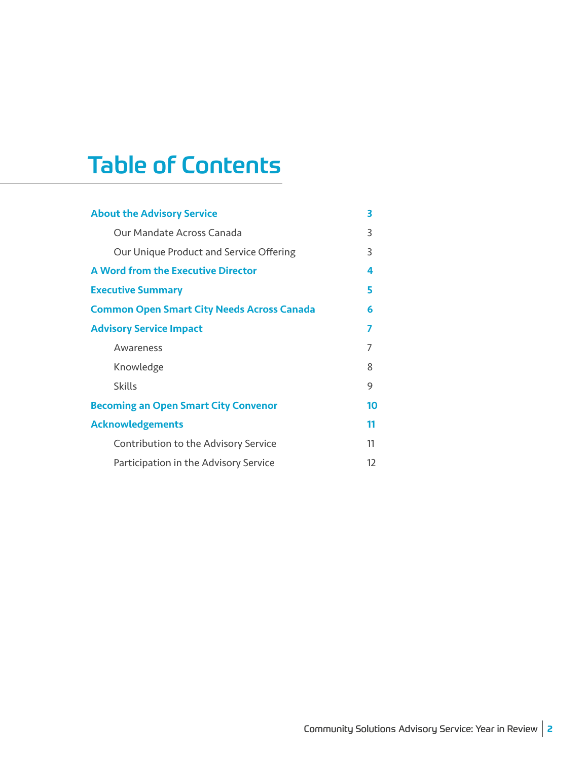## Table of Contents

| <b>About the Advisory Service</b>                 | 3                 |
|---------------------------------------------------|-------------------|
| Our Mandate Across Canada                         | 3                 |
| Our Unique Product and Service Offering           | 3                 |
| A Word from the Executive Director                | 4                 |
| <b>Executive Summary</b>                          | 5                 |
| <b>Common Open Smart City Needs Across Canada</b> | 6                 |
| <b>Advisory Service Impact</b>                    | 7                 |
| Awareness                                         | 7                 |
| Knowledge                                         | 8                 |
| <b>Skills</b>                                     | 9                 |
| <b>Becoming an Open Smart City Convenor</b>       | 10                |
| <b>Acknowledgements</b>                           | 11                |
| Contribution to the Advisory Service              | 11                |
| Participation in the Advisory Service             | $12 \overline{ }$ |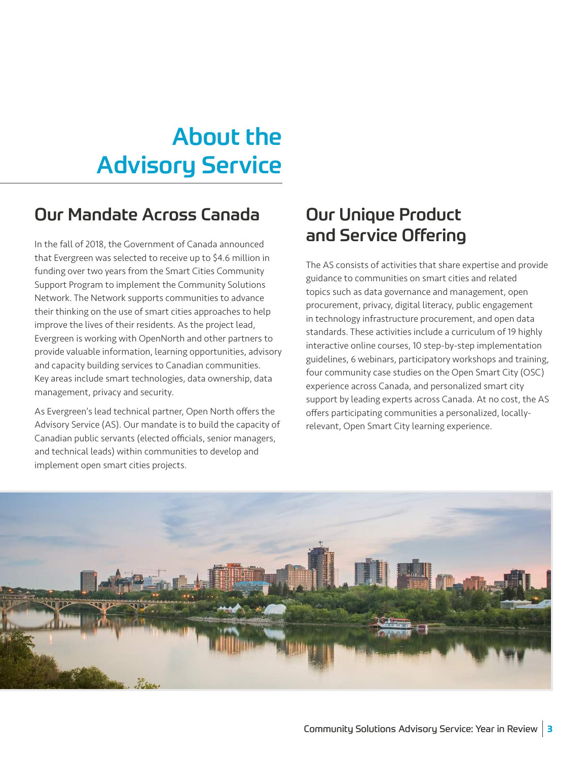## <span id="page-2-0"></span>About the Advisory Service

### Our Mandate Across Canada

In the fall of 2018, the Government of Canada announced that Evergreen was selected to receive up to \$4.6 million in funding over two years from the Smart Cities Community Support Program to implement the Community Solutions Network. The Network supports communities to advance their thinking on the use of smart cities approaches to help improve the lives of their residents. As the project lead, Evergreen is working with OpenNorth and other partners to provide valuable information, learning opportunities, advisory and capacity building services to Canadian communities. Key areas include smart technologies, data ownership, data management, privacy and security.

As Evergreen's lead technical partner, Open North offers the Advisory Service (AS). Our mandate is to build the capacity of Canadian public servants (elected officials, senior managers, and technical leads) within communities to develop and implement open smart cities projects.

### Our Unique Product and Service Offering

The AS consists of activities that share expertise and provide guidance to communities on smart cities and related topics such as data governance and management, open procurement, privacy, digital literacy, public engagement in technology infrastructure procurement, and open data standards. These activities include a curriculum of 19 highly interactive online courses, 10 step-by-step implementation guidelines, 6 webinars, participatory workshops and training, four community case studies on the Open Smart City (OSC) experience across Canada, and personalized smart city support by leading experts across Canada. At no cost, the AS offers participating communities a personalized, locallyrelevant, Open Smart City learning experience.

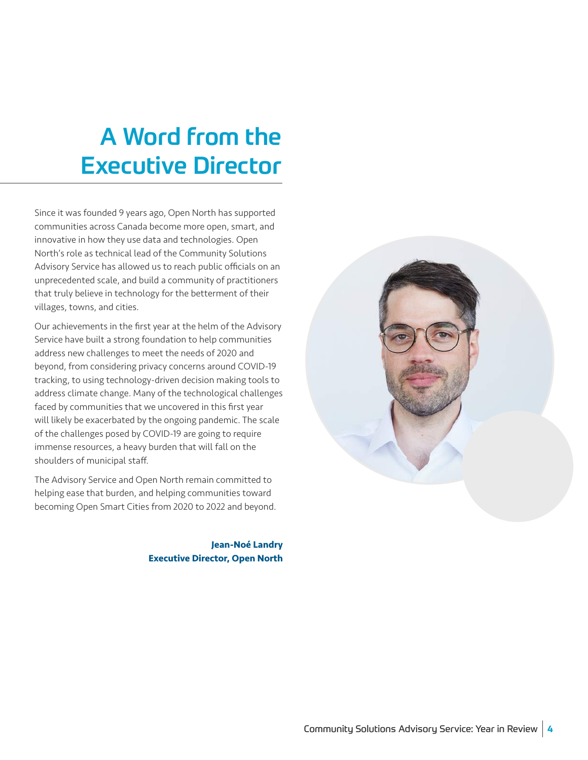## <span id="page-3-0"></span>A Word from the Executive Director

Since it was founded 9 years ago, Open North has supported communities across Canada become more open, smart, and innovative in how they use data and technologies. Open North's role as technical lead of the Community Solutions Advisory Service has allowed us to reach public officials on an unprecedented scale, and build a community of practitioners that truly believe in technology for the betterment of their villages, towns, and cities.

Our achievements in the first year at the helm of the Advisory Service have built a strong foundation to help communities address new challenges to meet the needs of 2020 and beyond, from considering privacy concerns around COVID-19 tracking, to using technology-driven decision making tools to address climate change. Many of the technological challenges faced by communities that we uncovered in this first year will likely be exacerbated by the ongoing pandemic. The scale of the challenges posed by COVID-19 are going to require immense resources, a heavy burden that will fall on the shoulders of municipal staff.

The Advisory Service and Open North remain committed to helping ease that burden, and helping communities toward becoming Open Smart Cities from 2020 to 2022 and beyond.

> **Jean-Noé Landry Executive Director, Open North**

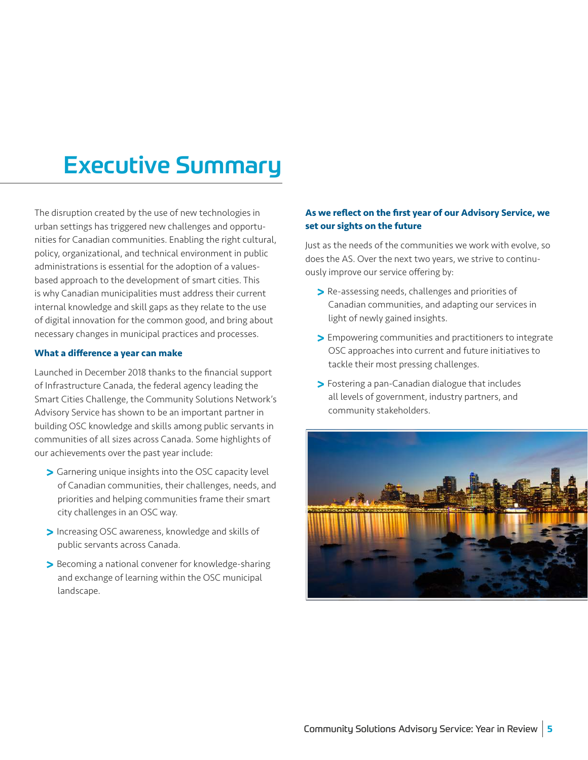## <span id="page-4-0"></span>Executive Summary

The disruption created by the use of new technologies in urban settings has triggered new challenges and opportunities for Canadian communities. Enabling the right cultural, policy, organizational, and technical environment in public administrations is essential for the adoption of a valuesbased approach to the development of smart cities. This is why Canadian municipalities must address their current internal knowledge and skill gaps as they relate to the use of digital innovation for the common good, and bring about necessary changes in municipal practices and processes.

#### **What a difference a year can make**

Launched in December 2018 thanks to the financial support of Infrastructure Canada, the federal agency leading the Smart Cities Challenge, the Community Solutions Network's Advisory Service has shown to be an important partner in building OSC knowledge and skills among public servants in communities of all sizes across Canada. Some highlights of our achievements over the past year include:

- **>** Garnering unique insights into the OSC capacity level of Canadian communities, their challenges, needs, and priorities and helping communities frame their smart city challenges in an OSC way.
- **>** Increasing OSC awareness, knowledge and skills of public servants across Canada.
- **>** Becoming a national convener for knowledge-sharing and exchange of learning within the OSC municipal landscape.

#### **As we reflect on the first year of our Advisory Service, we set our sights on the future**

Just as the needs of the communities we work with evolve, so does the AS. Over the next two years, we strive to continuously improve our service offering by:

- **>** Re-assessing needs, challenges and priorities of Canadian communities, and adapting our services in light of newly gained insights.
- **>** Empowering communities and practitioners to integrate OSC approaches into current and future initiatives to tackle their most pressing challenges.
- **>** Fostering a pan-Canadian dialogue that includes all levels of government, industry partners, and community stakeholders.

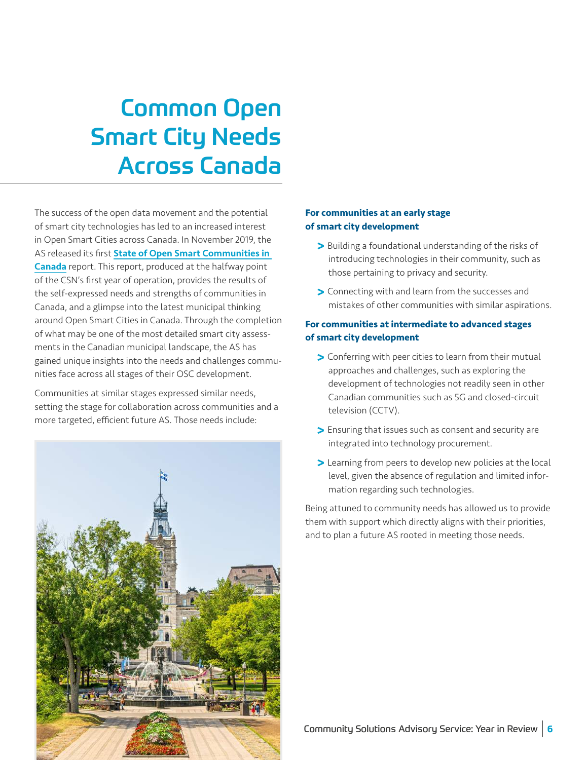## <span id="page-5-0"></span>Common Open Smart City Needs Across Canada

The success of the open data movement and the potential of smart city technologies has led to an increased interest in Open Smart Cities across Canada. In November 2019, the AS released its first **State of Open Smart Communities in** [Canada](https://portal.futurecitiescanada.ca/resources/state-of-open-smart-communities-in-canada/) report. This report, produced at the halfway point of the CSN's first year of operation, provides the results of the self-expressed needs and strengths of communities in Canada, and a glimpse into the latest municipal thinking around Open Smart Cities in Canada. Through the completion of what may be one of the most detailed smart city assessments in the Canadian municipal landscape, the AS has gained unique insights into the needs and challenges communities face across all stages of their OSC development.

Communities at similar stages expressed similar needs, setting the stage for collaboration across communities and a more targeted, efficient future AS. Those needs include:



#### **For communities at an early stage of smart city development**

- **>** Building a foundational understanding of the risks of introducing technologies in their community, such as those pertaining to privacy and security.
- **>** Connecting with and learn from the successes and mistakes of other communities with similar aspirations.

#### **For communities at intermediate to advanced stages of smart city development**

- **>** Conferring with peer cities to learn from their mutual approaches and challenges, such as exploring the development of technologies not readily seen in other Canadian communities such as 5G and closed-circuit television (CCTV).
- **>** Ensuring that issues such as consent and security are integrated into technology procurement.
- **>** Learning from peers to develop new policies at the local level, given the absence of regulation and limited information regarding such technologies.

Being attuned to community needs has allowed us to provide them with support which directly aligns with their priorities, and to plan a future AS rooted in meeting those needs.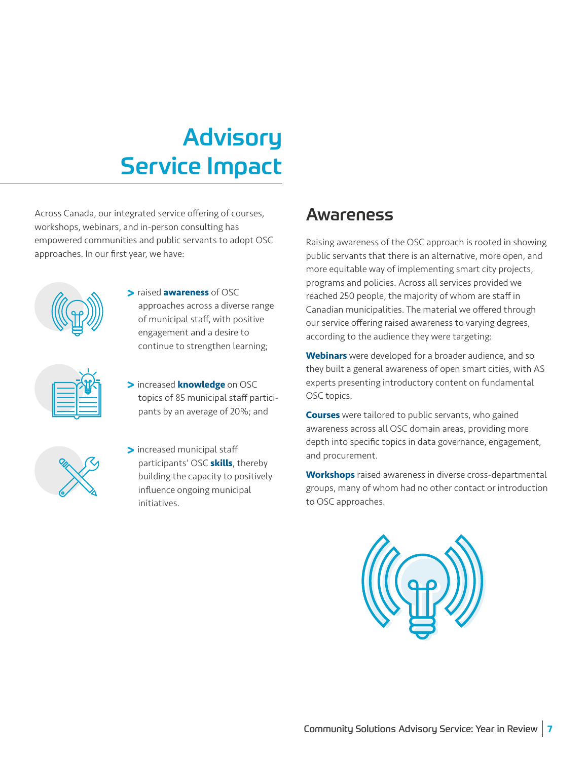## <span id="page-6-0"></span>Advisory Service Impact

Across Canada, our integrated service offering of courses, workshops, webinars, and in-person consulting has empowered communities and public servants to adopt OSC approaches. In our first year, we have:



**>** raised **awareness** of OSC approaches across a diverse range of municipal staff, with positive engagement and a desire to continue to strengthen learning;



**>** increased **knowledge** on OSC topics of 85 municipal staff participants by an average of 20%; and



**>** increased municipal staff participants' OSC **skills**, thereby building the capacity to positively influence ongoing municipal initiatives.

### Awareness

Raising awareness of the OSC approach is rooted in showing public servants that there is an alternative, more open, and more equitable way of implementing smart city projects, programs and policies. Across all services provided we reached 250 people, the majority of whom are staff in Canadian municipalities. The material we offered through our service offering raised awareness to varying degrees, according to the audience they were targeting:

**Webinars** were developed for a broader audience, and so they built a general awareness of open smart cities, with AS experts presenting introductory content on fundamental OSC topics.

**Courses** were tailored to public servants, who gained awareness across all OSC domain areas, providing more depth into specific topics in data governance, engagement, and procurement.

**Workshops** raised awareness in diverse cross-departmental groups, many of whom had no other contact or introduction to OSC approaches.

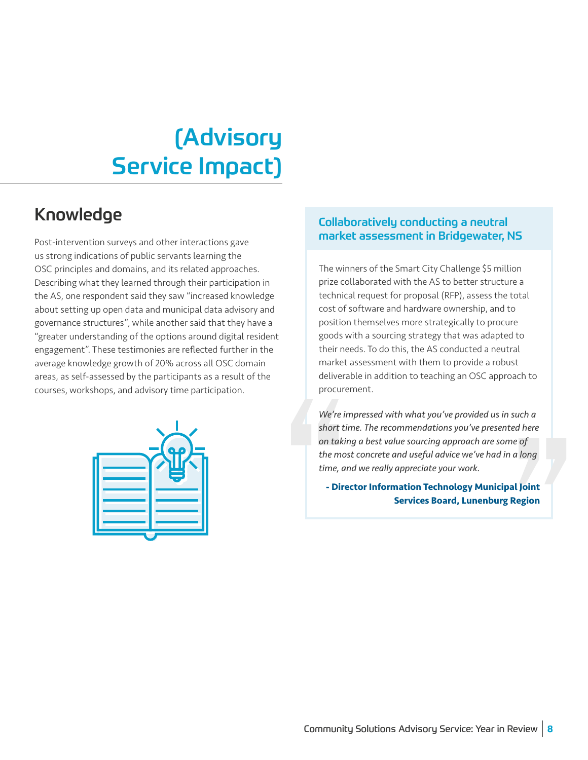## <span id="page-7-0"></span>(Advisory Service Impact)

### Knowledge

Post-intervention surveys and other interactions gave us strong indications of public servants learning the OSC principles and domains, and its related approaches. Describing what they learned through their participation in the AS, one respondent said they saw "increased knowledge about setting up open data and municipal data advisory and governance structures", while another said that they have a "greater understanding of the options around digital resident engagement". These testimonies are reflected further in the average knowledge growth of 20% across all OSC domain areas, as self-assessed by the participants as a result of the courses, workshops, and advisory time participation.



### Collaboratively conducting a neutral market assessment in Bridgewater, NS

The winners of the Smart City Challenge \$5 million prize collaborated with the AS to better structure a technical request for proposal (RFP), assess the total cost of software and hardware ownership, and to position themselves more strategically to procure goods with a sourcing strategy that was adapted to their needs. To do this, the AS conducted a neutral market assessment with them to provide a robust deliverable in addition to teaching an OSC approach to procurement.

procurement.<br>
We're impressed with what you've provided us in such a<br>
short time. The recommendations you've presented here<br>
on taking a best value sourcing approach are some of<br>
the most concrete and useful advice we've h *We're impressed with what you've provided us in such a short time. The recommendations you've presented here on taking a best value sourcing approach are some of the most concrete and useful advice we've had in a long time, and we really appreciate your work.*

**- Director Information Technology Municipal Joint Services Board, Lunenburg Region**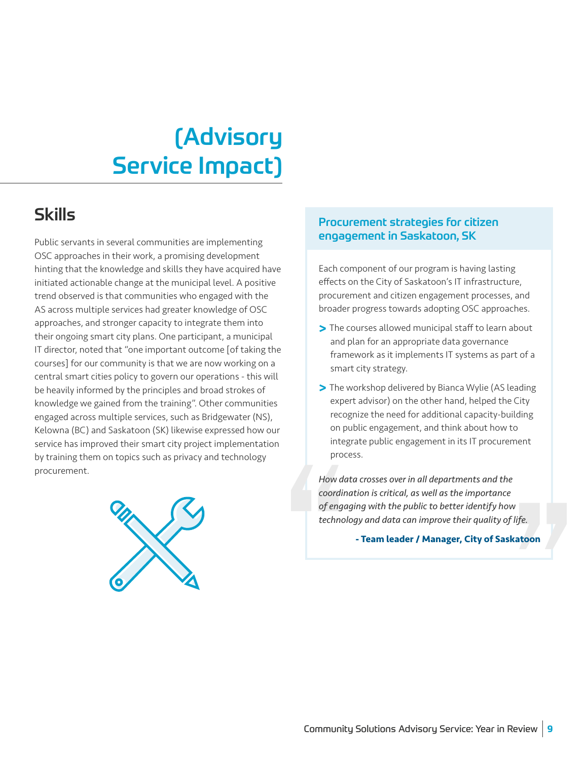## <span id="page-8-0"></span>(Advisory Service Impact)

### Skills

Public servants in several communities are implementing OSC approaches in their work, a promising development hinting that the knowledge and skills they have acquired have initiated actionable change at the municipal level. A positive trend observed is that communities who engaged with the AS across multiple services had greater knowledge of OSC approaches, and stronger capacity to integrate them into their ongoing smart city plans. One participant, a municipal IT director, noted that "one important outcome [of taking the courses] for our community is that we are now working on a central smart cities policy to govern our operations - this will be heavily informed by the principles and broad strokes of knowledge we gained from the training". Other communities engaged across multiple services, such as Bridgewater (NS), Kelowna (BC) and Saskatoon (SK) likewise expressed how our service has improved their smart city project implementation by training them on topics such as privacy and technology procurement.



### Procurement strategies for citizen engagement in Saskatoon, SK

Each component of our program is having lasting effects on the City of Saskatoon's IT infrastructure, procurement and citizen engagement processes, and broader progress towards adopting OSC approaches.

- **>** The courses allowed municipal staff to learn about and plan for an appropriate data governance framework as it implements IT systems as part of a smart city strategy.
- **>** The workshop delivered by Bianca Wylie (AS leading expert advisor) on the other hand, helped the City recognize the need for additional capacity-building on public engagement, and think about how to integrate public engagement in its IT procurement process.

process.<br>
How data crosses over in all departments and the<br>
coordination is critical, as well as the importance<br>
of engaging with the public to better identify how<br>
technology and data can improve their quality of life.<br> *How data crosses over in all departments and the coordination is critical, as well as the importance of engaging with the public to better identify how technology and data can improve their quality of life.*

**- Team leader / Manager, City of Saskatoon**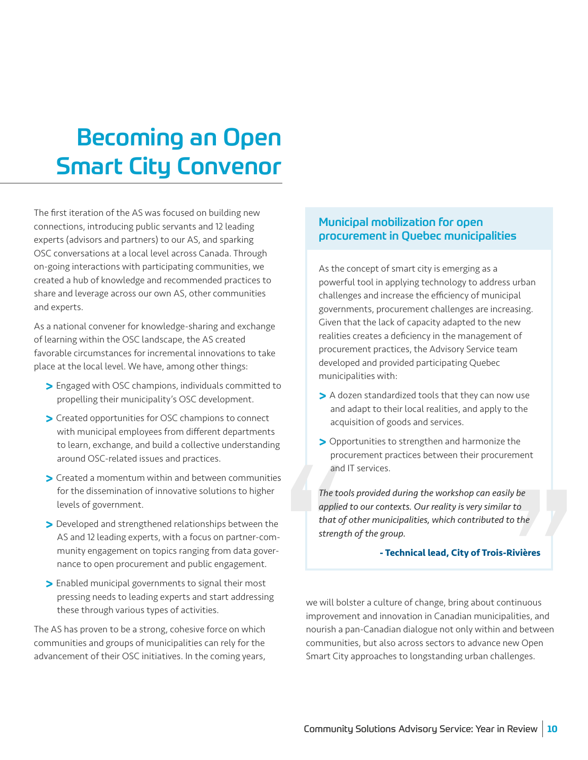## <span id="page-9-0"></span>Becoming an Open Smart City Convenor

The first iteration of the AS was focused on building new connections, introducing public servants and 12 leading experts (advisors and partners) to our AS, and sparking OSC conversations at a local level across Canada. Through on-going interactions with participating communities, we created a hub of knowledge and recommended practices to share and leverage across our own AS, other communities and experts.

As a national convener for knowledge-sharing and exchange of learning within the OSC landscape, the AS created favorable circumstances for incremental innovations to take place at the local level. We have, among other things:

- **>** Engaged with OSC champions, individuals committed to propelling their municipality's OSC development.
- **>** Created opportunities for OSC champions to connect with municipal employees from different departments to learn, exchange, and build a collective understanding around OSC-related issues and practices.
- **>** Created a momentum within and between communities for the dissemination of innovative solutions to higher levels of government.
- **>** Developed and strengthened relationships between the AS and 12 leading experts, with a focus on partner-community engagement on topics ranging from data governance to open procurement and public engagement.
- **>** Enabled municipal governments to signal their most pressing needs to leading experts and start addressing these through various types of activities.

The AS has proven to be a strong, cohesive force on which communities and groups of municipalities can rely for the advancement of their OSC initiatives. In the coming years,

#### Municipal mobilization for open procurement in Quebec municipalities

As the concept of smart city is emerging as a powerful tool in applying technology to address urban challenges and increase the efficiency of municipal governments, procurement challenges are increasing. Given that the lack of capacity adapted to the new realities creates a deficiency in the management of procurement practices, the Advisory Service team developed and provided participating Quebec municipalities with:

- **>** A dozen standardized tools that they can now use and adapt to their local realities, and apply to the acquisition of goods and services.
- **>** Opportunities to strengthen and harmonize the procurement practices between their procurement and IT services.

*The tools provided during the workshop can easily be applied to our contexts. Our reality is very similar to that of other municipalities, which contributed to the strength of the group.* 

#### **- Technical lead, City of Trois-Rivières**

procurement practices between their procurement<br>
and IT services.<br>
The tools provided during the workshop can easily be<br>
applied to our contexts. Our reality is very similar to<br>
that of other municipalities, which contribu we will bolster a culture of change, bring about continuous improvement and innovation in Canadian municipalities, and nourish a pan-Canadian dialogue not only within and between communities, but also across sectors to advance new Open Smart City approaches to longstanding urban challenges.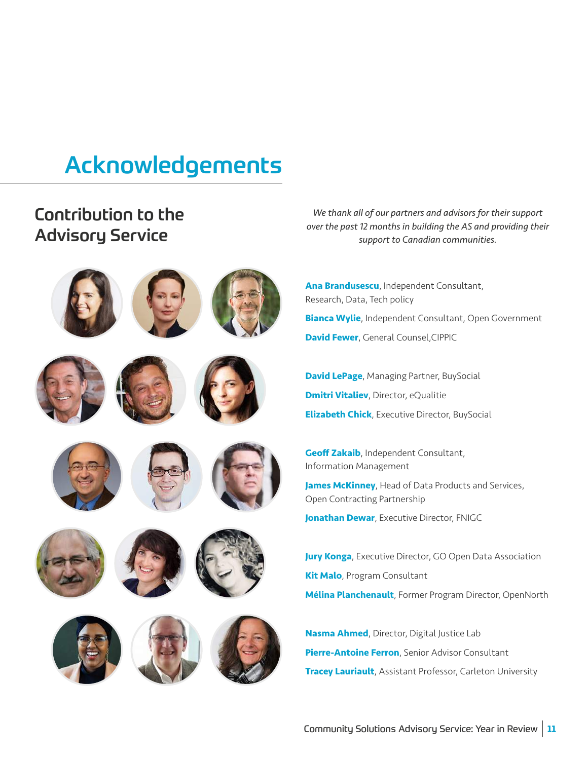## <span id="page-10-0"></span>Acknowledgements

### Contribution to the Advisory Service

























*We thank all of our partners and advisors for their support over the past 12 months in building the AS and providing their support to Canadian communities.*

**Ana Brandusescu**, Independent Consultant, Research, Data, Tech policy **Bianca Wylie**, Independent Consultant, Open Government **David Fewer**, General Counsel,CIPPIC

**David LePage**, Managing Partner, BuySocial **Dmitri Vitaliev**, Director, eQualitie **Elizabeth Chick**, Executive Director, BuySocial

**Geoff Zakaib**, Independent Consultant, Information Management

**James McKinney**, Head of Data Products and Services, Open Contracting Partnership

**Jonathan Dewar, Executive Director, FNIGC** 

**Jury Konga**, Executive Director, GO Open Data Association **Kit Malo**, Program Consultant **Mélina Planchenault**, Former Program Director, OpenNorth

**Nasma Ahmed**, Director, Digital Justice Lab **Pierre-Antoine Ferron**, Senior Advisor Consultant **Tracey Lauriault**, Assistant Professor, Carleton University